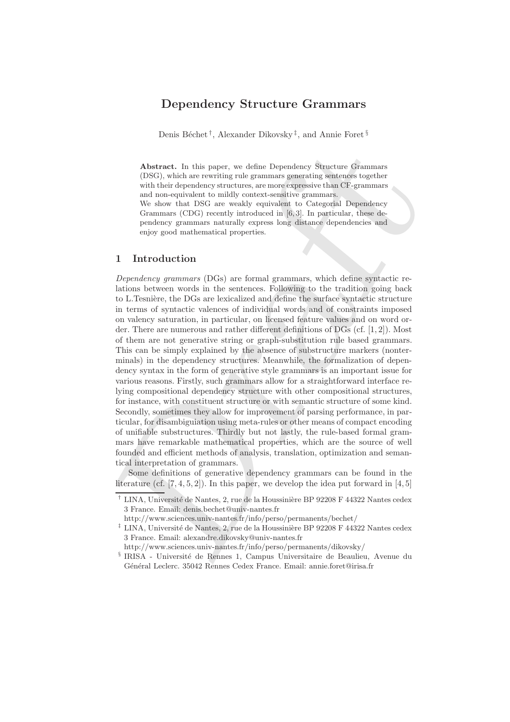# **Dependency Structure Grammars**

Denis Béchet<sup>†</sup>, Alexander Dikovsky<sup>‡</sup>, and Annie Foret<sup>§</sup>

**Abstract.** In this paper, we define Dependency Structure Grammars (DSG), which are rewriting rule grammars generating sentences together with their dependency structures, are more expressive than CF-grammars and non-equivalent to mildly context-sensitive grammars. We show that DSG are weakly equivalent to Categorial Dependency Grammars (CDG) recently introduced in [6, 3]. In particular, these dependency grammars naturally express long distance dependencies and enjoy good mathematical properties.

# **1 Introduction**

A batract. In this paper, we define Dependency Stucture Grammars (DSG), which are rewriting rule grammars generating scatteries together with their dependency structures, are more separating scattering for an one-cquivale *Dependency grammars* (DGs) are formal grammars, which define syntactic relations between words in the sentences. Following to the tradition going back to L.Tesnière, the DGs are lexicalized and define the surface syntactic structure in terms of syntactic valences of individual words and of constraints imposed on valency saturation, in particular, on licensed feature values and on word order. There are numerous and rather different definitions of DGs (cf. [1, 2]). Most of them are not generative string or graph-substitution rule based grammars. This can be simply explained by the absence of substructure markers (nonterminals) in the dependency structures. Meanwhile, the formalization of dependency syntax in the form of generative style grammars is an important issue for various reasons. Firstly, such grammars allow for a straightforward interface relying compositional dependency structure with other compositional structures, for instance, with constituent structure or with semantic structure of some kind. Secondly, sometimes they allow for improvement of parsing performance, in particular, for disambiguiation using meta-rules or other means of compact encoding of unifiable substructures. Thirdly but not lastly, the rule-based formal grammars have remarkable mathematical properties, which are the source of well founded and efficient methods of analysis, translation, optimization and semantical interpretation of grammars.

Some definitions of generative dependency grammars can be found in the literature (cf.  $[7, 4, 5, 2]$ ). In this paper, we develop the idea put forward in  $[4, 5]$ 

<sup>&</sup>lt;sup>†</sup> LINA, Université de Nantes, 2, rue de la Houssinière BP 92208 F 44322 Nantes cedex 3 France. Email: denis.bechet@univ-nantes.fr

http://www.sciences.univ-nantes.fr/info/perso/permanents/bechet/

<sup>&</sup>lt;sup>‡</sup> LINA, Université de Nantes, 2, rue de la Houssinière BP 92208 F 44322 Nantes cedex 3 France. Email: alexandre.dikovsky@univ-nantes.fr

http://www.sciences.univ-nantes.fr/info/perso/permanents/dikovsky/

<sup>&</sup>lt;sup>§</sup> IRISA - Université de Rennes 1, Campus Universitaire de Beaulieu, Avenue du Général Leclerc. 35042 Rennes Cedex France. Email: annie.foret@irisa.fr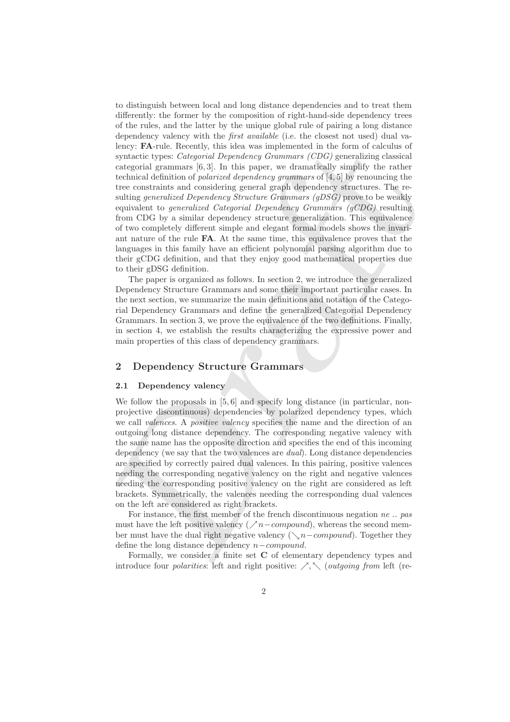keey: PA-rule. Recently, this idea was implemented in the form of calculus of<br>syntactic types: Categorial Dependency Groumars (OBC) generalizing classical<br>tectagorial constraints [6,3]. In this paper, we dramatically simp to distinguish between local and long distance dependencies and to treat them differently: the former by the composition of right-hand-side dependency trees of the rules, and the latter by the unique global rule of pairing a long distance dependency valency with the *first available* (i.e. the closest not used) dual valency: **FA**-rule. Recently, this idea was implemented in the form of calculus of syntactic types: *Categorial Dependency Grammars (CDG)* generalizing classical categorial grammars [6, 3]. In this paper, we dramatically simplify the rather technical definition of *polarized dependency grammars* of [4, 5] by renouncing the tree constraints and considering general graph dependency structures. The resulting *generalized Dependency Structure Grammars (gDSG)* prove to be weakly equivalent to *generalized Categorial Dependency Grammars (gCDG)* resulting from CDG by a similar dependency structure generalization. This equivalence of two completely different simple and elegant formal models shows the invariant nature of the rule **FA**. At the same time, this equivalence proves that the languages in this family have an efficient polynomial parsing algorithm due to their gCDG definition, and that they enjoy good mathematical properties due to their gDSG definition.

The paper is organized as follows. In section 2, we introduce the generalized Dependency Structure Grammars and some their important particular cases. In the next section, we summarize the main definitions and notation of the Categorial Dependency Grammars and define the generalized Categorial Dependency Grammars. In section 3, we prove the equivalence of the two definitions. Finally, in section 4, we establish the results characterizing the expressive power and main properties of this class of dependency grammars.

#### **2 Dependency Structure Grammars**

#### **2.1 Dependency valency**

We follow the proposals in [5,6] and specify long distance (in particular, nonprojective discontinuous) dependencies by polarized dependency types, which we call *valences*. A *positive valency* specifies the name and the direction of an outgoing long distance dependency. The corresponding negative valency with the same name has the opposite direction and specifies the end of this incoming dependency (we say that the two valences are *dual*). Long distance dependencies are specified by correctly paired dual valences. In this pairing, positive valences needing the corresponding negative valency on the right and negative valences needing the corresponding positive valency on the right are considered as left brackets. Symmetrically, the valences needing the corresponding dual valences on the left are considered as right brackets.

For instance, the first member of the french discontinuous negation *ne .. pas* must have the left positive valency ( $\nearrow$ n – compound), whereas the second member must have the dual right negative valency ( $\setminus n$  – *compound*). Together they define the long distance dependency n−compound.

Formally, we consider a finite set **C** of elementary dependency types and introduce four *polarities*: left and right positive:  $\nearrow$ ,  $\diagdown$  (*outgoing from* left (re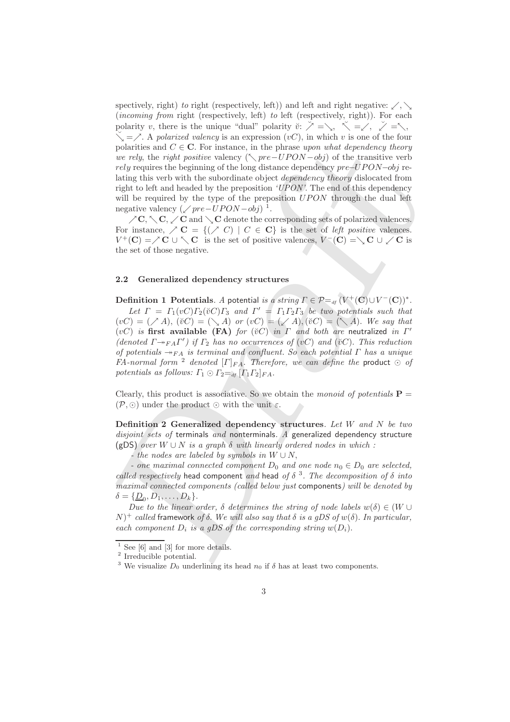spectively, right) *to* right (respectively, left)) and left and right negative:  $\swarrow$ ,  $\searrow$ (*incoming from* right (respectively, left) *to* left (respectively, right)). For each polarity v, there is the unique "dual" polarity  $\check{v}$ :  $\check{\nearrow} = \setminus$ ,  $\check{\nwarrow} = \check{\nearrow}$ ,  $\check{\nearrow} = \check{\nwarrow}$ ,  $\check{\searrow} = \check{\nearrow}$ . A *polarized valency* is an expression  $(vC)$ , in which v is one of the four polarities and  $C \in \mathbb{C}$ . For instance, in the phrase *upon what dependency theory we rely*, the *right positive* valency ( $\Diamond$  *pre–UPON −obj*) of the transitive verb rely requires the beginning of the long distance dependency pre−UPON−obj relating this verb with the subordinate object *dependency theory* dislocated from right to left and headed by the preposition *'UPON'*. The end of this dependency will be required by the type of the preposition  $UPON$  through the dual left negative valency  $(\sqrt{pre-UPON-obj})^{-1}$ .

 $\angle C$ ,  $\diagdown C$ ,  $\diagdown C$  and  $\diagdown C$  denote the corresponding sets of polarized valences. For instance,  $\angle C = \{ (\angle C) | C \in \mathbb{C} \}$  is the set of *left positive* valences.  $V^+(\mathbf{C}) = \mathcal{N}\mathbf{C} \cup \mathcal{N}\mathbf{C}$  is the set of positive valences,  $V^-(\mathbf{C}) = \mathcal{N}\mathbf{C} \cup \mathcal{N}\mathbf{C}$  is the set of those negative.

#### **2.2 Generalized dependency structures**

positries and  $C \in \mathbb{C}$ . For instance, in the phrase space and adependency theories propared we relay, the priori dependency of propare  $\psi$  ready ready ready ready ready be considered by the simulation of the big stand **Definition 1 Potentials***. A potential is a string*  $\Gamma \in \mathcal{P} =_{df} (V^+(C) \cup V^-(C))^*$ . Let  $\Gamma = \Gamma_1(vC)\Gamma_2(\breve{v}C)\Gamma_3$  and  $\Gamma' = \Gamma_1\Gamma_2\Gamma_3$  be two potentials such that  $(vC)=(\bigtriangledown A), (vC)=(\bigtriangledown A)$  *or*  $(vC)=(\bigtriangledown A), (vC)=(\bigtriangledown A)$ . We say that  $(vC)$  *is* first available (FA) *for* ( $\breve{v}C$ ) *in*  $\Gamma$  *and both are* neutralized *in*  $\Gamma'$ (denoted  $\Gamma \rightarrow_{FA} \Gamma'$ ) if  $\Gamma_2$  has no occurrences of (vC) and ( $\breve{\mathrm{v}}$ C). This reduction *of potentials*  $\rightarrow$ <sub>FA</sub> *is terminal and confluent. So each potential*  $\Gamma$  *has a unique*  $FA$ -normal form <sup>2</sup> denoted  $[\Gamma]_{FA}$ . *Therefore, we can define the* product  $\odot$  of *potentials as follows:*  $\Gamma_1 \odot \Gamma_2 =_{df} [\Gamma_1 \Gamma_2]_{FA}$ .

Clearly, this product is associative. So we obtain the *monoid of potentials*  $P =$  $(\mathcal{P}, \odot)$  under the product  $\odot$  with the unit  $\varepsilon$ .

**Definition 2 Generalized dependency structures***. Let* W *and* N *be two disjoint sets of* terminals *and* nonterminals*. A* generalized dependency structure (gDS) *over* W ∪ N *is a graph* δ *with linearly ordered nodes in which :*

*- the nodes are labeled by symbols in* W ∪ N,

*-* one maximal connected component  $D_0$  and one node  $n_0 \in D_0$  are selected, *called respectively* head component *and* head *of*  $\delta$ <sup>3</sup>. The decomposition of  $\delta$  *into maximal connected components (called below just* components*) will be denoted by*  $\delta = {\underline{D_0}, D_1, \ldots, D_k}.$ 

*Due to the linear order,*  $\delta$  *determines the string of node labels*  $w(\delta) \in (W \cup$  $(N)^+$  *called* framework *of*  $\delta$ . We will also say that  $\delta$  *is a gDS of*  $w(\delta)$ . In particular, *each component*  $D_i$  *is a gDS of the corresponding string*  $w(D_i)$ *.* 

 $1$  See [6] and [3] for more details.

<sup>2</sup> Irreducible potential.

<sup>&</sup>lt;sup>3</sup> We visualize  $D_0$  underlining its head  $n_0$  if  $\delta$  has at least two components.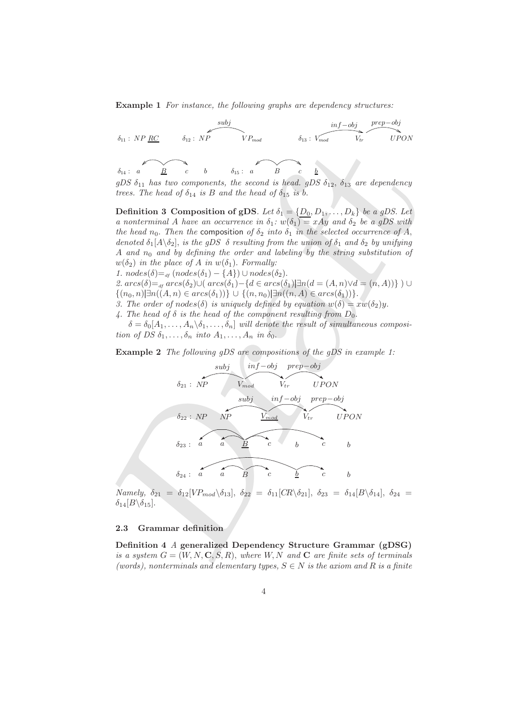**Example 1** *For instance, the following graphs are dependency structures:*



*trees. The head of*  $\delta_{14}$  *is* B *and the head of*  $\delta_{15}$  *is b*.

**Definition 3 Composition of gDS***. Let*  $\delta_1 = \{D_0, D_1, \ldots, D_k\}$  *be a gDS. Let a nonterminal* A *have an occurrence in*  $\delta_1$ *:*  $w(\delta_1) = xAy$  *and*  $\delta_2$  *be a gDS with the head*  $n_0$ . *Then the* composition *of*  $\delta_2$  *into*  $\delta_1$  *in the selected occurrence of* A, *denoted*  $\delta_1[A\setminus \delta_2]$ , *is the qDS*  $\delta$  *resulting from the union of*  $\delta_1$  *and*  $\delta_2$  *by unifying* A and  $n_0$  and by defining the order and labeling by the string substitution of  $w(\delta_2)$  *in the place of A in*  $w(\delta_1)$ *. Formally:* 

*1.*  $nodes(\delta) =_{df} (nodes(\delta_1) - \{A\}) \cup nodes(\delta_2).$ 

2.  $\arcs(\delta) =$ <sub>df</sub>  $\arcs(\delta_2) \cup (\arcs(\delta_1) - \{d \in \arcs(\delta_1) | \exists n(d = (A, n) \lor d = (n, A)) \})$  ∪  $\{(n_0, n)|\exists n((A, n) \in arcs(\delta_1))\} \cup \{(n, n_0)|\exists n((n, A) \in arcs(\delta_1))\}.$ 

*3. The order of nodes*( $\delta$ ) *is uniquely defined by equation*  $w(\delta) = xw(\delta_2)y$ .

4. The head of  $\delta$  *is the head of the component resulting from*  $D_0$ .

 $\delta = \delta_0[A_1,\ldots,A_n\setminus\delta_1,\ldots,\delta_n]$  *will denote the result of simultaneous composition of DS*  $\delta_1, \ldots, \delta_n$  *into*  $A_1, \ldots, A_n$  *in*  $\delta_0$ .

**Example 2** *The following gDS are compositions of the gDS in example 1:*

$$
a14: a B c b  $δ15: a B c B$   
\ngDS δ<sub>11</sub> has two components, the second is head, gDS δ<sub>12</sub>, δ<sub>13</sub> are dependency  
\ntrees. The head of δ<sub>14</sub> is B and the head of δ<sub>15</sub> is b.  
\nDefinition 3 Composition of gDS. Let δ<sub>1</sub> = {D<sub>0</sub>, D<sub>1</sub>,..., D<sub>k</sub>} be a gDS with  
\na nonterminal A have an occurrence in δ<sub>1</sub>: w(δ<sub>1</sub>) = xAy and δ<sub>2</sub> be a gDS with  
\nthe head n<sub>0</sub>. Then the composition of δ<sub>2</sub> into δ<sub>1</sub> in the selected occurrence of A,  
\ndendo<sub>1</sub> |λ<sub>0</sub>), is the gDS of resulting from the union of δ<sub>1</sub> and δ<sub>2</sub> by unifying  
\nA and n<sub>0</sub> and by defining the order and labeling by the string substitution of  
\nw(δ<sub>2</sub>) in the place of A in w(δ<sub>1</sub>). Formally:  
\n1. nodes(δ)=<sub>4</sub> (nodes(δ<sub>1</sub>) - {A}) ∪ nodes(δ<sub>2</sub>).  
\n2. arcs(δ<sub>1</sub>)=<sub>4</sub> (ras(δ)<sub>2</sub>)(arcs(δ<sub>1</sub>)) + ∪ {n<sub>0</sub>, n<sub>0</sub>} = [n(α, n)/d = (A, n)/d = (n, A))} ∫ ∪  
\n3. The order of nodes(δ) is uniquely defined by equation w(δ) = xw(δ<sub>2</sub>)y.  
\n4. The head of δ is the head of the component resulting from D<sub>0</sub>.  
\nδ = δ<sub>0</sub>[A<sub>1</sub>,..., A<sub>n</sub>, δ<sub>1</sub> with denote the result of simultaneous composi-  
\ntion of DS δ<sub>1</sub>,..., δ<sub>n</sub> into A<sub>1</sub>,..., A<sub>n</sub> into A<sub>0</sub>.  
\n6 = δ<sub>0</sub>[A<sub>1</sub>,..., A<sub>n</sub>, δ<sub>1</sub>,..., A<sub>n</sub> into A<sub>0</sub>.  
\nδ<sub>21</sub>: NP
$$
\n
$$
x1 = \frac{b
$$

*Namely,*  $\delta_{21} = \delta_{12}[VP_{mod} \setminus \delta_{13}], \ \delta_{22} = \delta_{11}[CR \setminus \delta_{21}], \ \delta_{23} = \delta_{14}[B \setminus \delta_{14}], \ \delta_{24} =$  $\delta_{14}[B\backslash \delta_{15}].$ 

## **2.3 Grammar definition**

**Definition 4** *A* **generalized Dependency Structure Grammar (gDSG)** *is a system*  $G = (W, N, \mathbf{C}, S, R)$ , where  $W, N$  and  $\mathbf{C}$  are finite sets of terminals *(words), nonterminals and elementary types,*  $S \in N$  *is the axiom and* R *is a finite*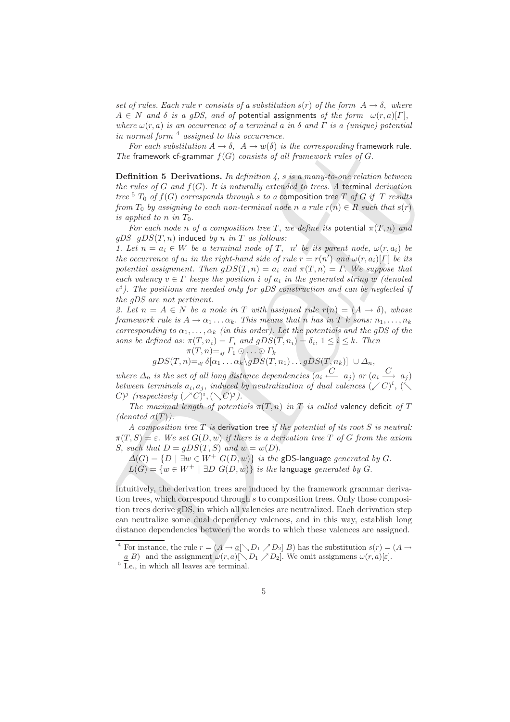*set of rules. Each rule r consists of a substitution*  $s(r)$  *of the form*  $A \rightarrow \delta$ , *where*  $A \in N$  *and*  $\delta$  *is a qDS, and of* potential assignments of the form  $\omega(r, a)[\Gamma]$ , *where*  $\omega(r, a)$  *is an occurrence of a terminal a in*  $\delta$  *and*  $\Gamma$  *is a (unique) potential in normal form* <sup>4</sup> *assigned to this occurrence.*

*For each substitution*  $A \rightarrow \delta$ ,  $A \rightarrow w(\delta)$  *is the corresponding* framework rule. *The* framework cf-grammar f(G) *consists of all framework rules of* G.

**Definition 5 Derivations.** *In definition 4,* s *is a many-to-one relation between the rules of* G *and* f(G). *It is naturally extended to trees. A* terminal *derivation tree*  ${}^5T_0$  *of*  $f(G)$  *corresponds through s to a* **composition tree** T *of* G *if* T *results from*  $T_0$  *by assigning to each non-terminal node n a rule*  $r(n) \in R$  *such that*  $s(r)$ *is applied to n in*  $T_0$ *.* 

*For each node n of a composition tree* T, we define its potential  $\pi(T, n)$  and *gDS* gDS(T,n) induced *by* n *in* T *as follows:*

For each solution  $A \rightarrow b$ ,  $A \rightarrow b$  (i) is the corresponding framework rule.<br>
For furnework digitariums  $I$ ,  $\overline{G}$ ,  $\overline{G}$ ,  $\overline{G}$ ,  $\overline{G}$ .<br>
Definition 5 Derivations. In definition  $\overline{f}$ ,  $\overline{s}$  is an anary-lo-o 1. Let  $n = a_i \in W$  be a terminal node of T, n' be its parent node,  $\omega(r, a_i)$  be *the occurrence of*  $a_i$  *in the right-hand side of rule*  $r = r(n')$  *and*  $\omega(r, a_i)[\Gamma]$  *be its potential assignment. Then*  $qDS(T, n) = a_i$  and  $\pi(T, n) = \Gamma$ . We suppose that *each valency*  $v \in \Gamma$  *keeps the position i of a<sub>i</sub> in the generated string w (denoted*)  $v<sup>i</sup>$ ). The positions are needed only for gDS construction and can be neglected if *the gDS are not pertinent.*

2. Let  $n = A \in N$  be a node in T with assigned rule  $r(n) = (A \rightarrow \delta)$ , whose *framework rule is*  $A \rightarrow \alpha_1 \dots \alpha_k$ . *This means that n has in T k sons:*  $n_1, \dots, n_k$ *corresponding to*  $\alpha_1, \ldots, \alpha_k$  *(in this order). Let the potentials and the gDS of the sons be defined as:*  $\pi(T, n_i) = \Gamma_i$  *and*  $gDS(T, n_i) = \delta_i$ ,  $1 \leq i \leq k$ . *Then* 

$$
\pi(T,n) =_{\tiny{df}} \Gamma_1 \odot \ldots \odot \Gamma_k
$$
  
 
$$
gDS(T,n) =_{\tiny{df}} \delta[\alpha_1 \ldots \alpha_k \backslash gDS(T,n_1) \ldots gDS(T,n_k)] \cup \Delta_n,
$$

*where*  $\Delta_n$  *is the set of all long distance dependencies*  $(a_i \stackrel{C}{\leftarrow} a_j)$  *or*  $(a_i \stackrel{C}{\rightarrow} a_j)$ *between terminals*  $a_i, a_j$ , *induced by neutralization of dual valences*  $(\angle C)^i$ ,  $(\triangle C)^i$  $(C)^j$  (respectively  $(\nearrow C)^i, (\searrow C)^j$ ).

*The maximal length of potentials*  $\pi(T, n)$  *in T is called* valency deficit *of T*  $(denoted \sigma(T))$ .

*A composition tree* T *is* derivation tree *if the potential of its root* S *is neutral:*  $\pi(T, S) = \varepsilon$ . We set  $G(D, w)$  if there is a derivation tree T of G from the axiom S, such that  $D = gDS(T, S)$  and  $w = w(D)$ .

 $\Delta(G) = \{D \mid \exists w \in W^+ \ G(D, w)\}$  *is the* gDS-language *generated by G*.  $L(G) = \{w \in W^+ \mid \exists D \ G(D, w)\}$  *is the language generated by G.* 

Intuitively, the derivation trees are induced by the framework grammar derivation trees, which correspond through s to composition trees. Only those composition trees derive gDS, in which all valencies are neutralized. Each derivation step can neutralize some dual dependency valences, and in this way, establish long distance dependencies between the words to which these valences are assigned.

<sup>&</sup>lt;sup>4</sup> For instance, the rule  $r = (A \rightarrow \underline{a}[\searrow D_1 \nearrow D_2] B)$  has the substitution  $s(r) = (A \rightarrow \underline{a}[\searrow D_1 \nearrow D_2] B)$ 

 $\underline{a}$  B) and the assignment  $\omega(r, a)[\Box D_1 \nearrow D_2]$ . We omit assignmens  $\omega(r, a)[\epsilon]$ .<br><sup>5</sup> I.e., in which all leaves are terminal.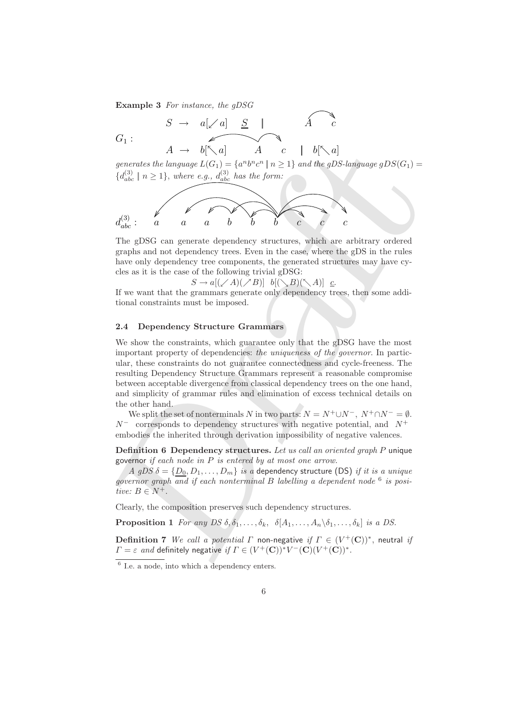**Example 3** *For instance, the gDSG*

$$
G_1: \qquad \begin{array}{ccccccc} & & S & \to & a[\swarrow a] & \underline{S} & & & A & c \\ & & & & & & A & c \\ & & & & & & & A & c & & b[\nwarrow a] \\ & & & & & & & & & b\end{array}
$$

*generates the language*  $L(G_1) = \{a^n b^n c^n | n \geq 1\}$  *and the gDS-language*  $gDS(G_1)$  ${d_{abc}^{(3)} \mid n \ge 1},$  where e.g.,  $d_{abc}^{(3)}$  has the form:



The gDSG can generate dependency structures, which are arbitrary ordered graphs and not dependency trees. Even in the case, where the gDS in the rules have only dependency tree components, the generated structures may have cycles as it is the case of the following trivial gDSG:

 $S \to a[(\swarrow A)(\swarrow B)] \quad b[(\searrow B)(\searrow A)] \quad c.$ 

If we want that the grammars generate only dependency trees, then some additional constraints must be imposed.

#### **2.4 Dependency Structure Grammars**

Draft We show the constraints, which guarantee only that the gDSG have the most important property of dependencies: *the uniqueness of the governor*. In particular, these constraints do not guarantee connectedness and cycle-freeness. The resulting Dependency Structure Grammars represent a reasonable compromise between acceptable divergence from classical dependency trees on the one hand, and simplicity of grammar rules and elimination of excess technical details on the other hand.

We split the set of nonterminals N in two parts:  $N = N^+ \cup N^-$ ,  $N^+ \cap N^- = \emptyset$ .  $N^-$  corresponds to dependency structures with negative potential, and  $N^+$ embodies the inherited through derivation impossibility of negative valences.

**Definition 6 Dependency structures.** *Let us call an oriented graph* P unique governor *if each node in* P *is entered by at most one arrow.*

*A gDS*  $\delta = \{D_0, D_1, \ldots, D_m\}$  *is a* dependency structure (DS) *if it is a unique governor graph and if each nonterminal* B *labelling a dependent node* <sup>6</sup> *is positive:*  $B \in N^+$ .

Clearly, the composition preserves such dependency structures.

**Proposition 1** *For any DS*  $\delta$ ,  $\delta_1$ , ...,  $\delta_k$ ,  $\delta$ [ $A_1$ , ...,  $A_n \setminus \delta_1$ , ...,  $\delta_k$ ] *is a DS.* 

**Definition 7** *We call a potential*  $\Gamma$  non-negative *if*  $\Gamma \in (V^+(\mathbb{C}))^*$ , neutral *if*  $\Gamma = \varepsilon$  *and* definitely negative *if*  $\Gamma \in (V^+(\mathbf{C}))^*V^-(\mathbf{C})(V^+(\mathbf{C}))^*$ .

 $\frac{6}{6}$  I.e. a node, into which a dependency enters.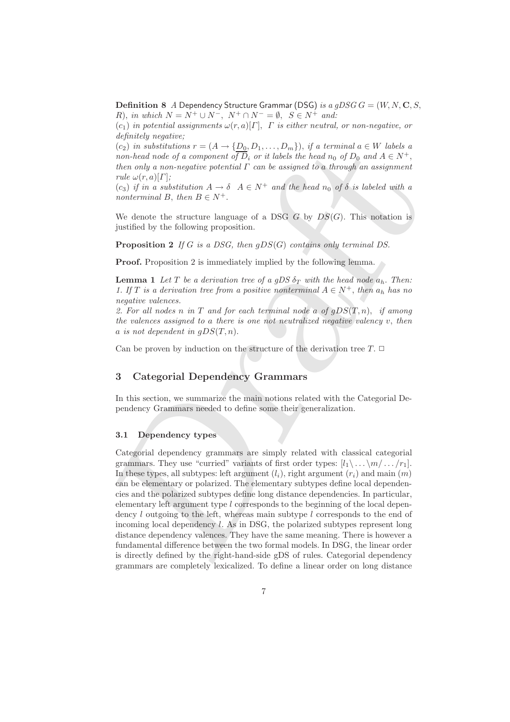**Definition 8** *A* Dependency Structure Grammar (DSG) *is a gDSG*  $G = (W, N, \mathbf{C}, S, \mathbf{C})$ *R*), *in which*  $N = N^+ \cup N^-$ ,  $N^+ \cap N^- = \emptyset$ ,  $S \in N^+$  *and:* 

(c1) *in potential assignments* ω(r, a)[Γ], Γ *is either neutral, or non-negative, or definitely negative;*

 $(c_2)$  *in substitutions*  $r = (A \rightarrow \{D_0, D_1, \ldots, D_m\})$ , *if a terminal*  $a \in W$  *labels* a *non-head node of a component of*  $\overline{D}_i$  *or it labels the head*  $n_0$  *of*  $D_0$  *and*  $A \in N^+$ , *then only a non-negative potential* Γ *can be assigned to* a *through an assignment rule*  $\omega(r, a)[\Gamma]$ *;* 

 $(c_3)$  *if in a substitution*  $A \rightarrow \delta$   $A \in N^+$  *and the head*  $n_0$  *of*  $\delta$  *is labeled with a nonterminal* B, then  $B \in N^+$ .

We denote the structure language of a DSG  $G$  by  $DS(G)$ . This notation is justified by the following proposition.

**Proposition 2** *If* G *is a DSG, then* gDS(G) *contains only terminal DS.*

**Proof.** Proposition 2 is immediately implied by the following lemma.

**Lemma 1** *Let* T *be a derivation tree of a gDS*  $\delta_T$  *with the head node*  $a_h$ *. Then: 1.* If T is a derivation tree from a positive nonterminal  $A \in N^+$ , then  $a_h$  has no *negative valences.*

*2. For all nodes* n *in* T *and for each terminal node* a *of* gDS(T,n), *if among the valences assigned to* a *there is one not neutralized negative valency* v, *then*  $a$  *is not dependent in*  $gDS(T, n)$ *.* 

Can be proven by induction on the structure of the derivation tree  $T$ .  $\Box$ 

### **3 Categorial Dependency Grammars**

In this section, we summarize the main notions related with the Categorial Dependency Grammars needed to define some their generalization.

#### **3.1 Dependency types**

(ig) in solution<br>that are  $\in (A \cdot \{D_0, D_1, \ldots, D_m)\}$ , if a lerminal a  $\in W$  those<br>then any a non-head under of a component of  $\overline{D}_t$ , or it labels the head  $n_0$  of  $D_0$  and  $A \in N^+$ ,<br>then and a anom engelive potentia Categorial dependency grammars are simply related with classical categorial grammars. They use "curried" variants of first order types:  $[l_1 \backslash \ldots \backslash m / \ldots / r_1]$ . In these types, all subtypes: left argument  $(l_i)$ , right argument  $(r_i)$  and main  $(m)$ can be elementary or polarized. The elementary subtypes define local dependencies and the polarized subtypes define long distance dependencies. In particular, elementary left argument type l corresponds to the beginning of the local dependency l outgoing to the left, whereas main subtype l corresponds to the end of incoming local dependency l. As in DSG, the polarized subtypes represent long distance dependency valences. They have the same meaning. There is however a fundamental difference between the two formal models. In DSG, the linear order is directly defined by the right-hand-side gDS of rules. Categorial dependency grammars are completely lexicalized. To define a linear order on long distance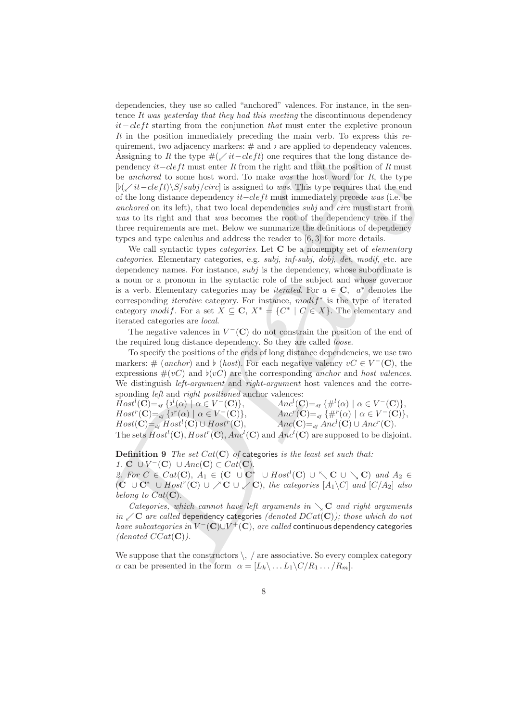quirement, two adjacenty markers; # and 2 ure applied to dependency where<br>a Assigning to *B*: the type  $\#(\angle i\ell - d\epsilon f t)$  one requires that the political<br>persidence of *P* metric and that the position of *R* matrice is enha dependencies, they use so called "anchored" valences. For instance, in the sentence *It was yesterday that they had this meeting* the discontinuous dependency *it*−cleft starting from the conjunction *that* must enter the expletive pronoun *It* in the position immediately preceding the main verb. To express this requirement, two adjacency markers:  $\#$  and  $\flat$  are applied to dependency valences. Assigning to *It* the type  $\#(\angle it - cleft)$  one requires that the long distance dependency *it*−cleft must enter *It* from the right and that the position of *It* must be *anchored* to some host word. To make *was* the host word for *It*, the type  $\left[\frac{b}{\sqrt{it}-cleft}\right]\$ S/subj/circ] is assigned to *was*. This type requires that the end of the long distance dependency it−clef t must immediately precede *was* (i.e. be *anchored* on its left), that two local dependencies *subj* and *circ* must start from *was* to its right and that *was* becomes the root of the dependency tree if the three requirements are met. Below we summarize the definitions of dependency types and type calculus and address the reader to [6, 3] for more details.

We call syntactic types *categories*. Let **C** be a nonempty set of *elementary categories*. Elementary categories, e.g. *subj*, *inf-subj*, *dobj*, *det*, *modif*, etc. are dependency names. For instance,  $subj$  is the dependency, whose subordinate is a noun or a pronoun in the syntactic role of the subject and whose governor is a verb. Elementary categories may be *iterated*. For  $a \in \mathbb{C}$ ,  $a^*$  denotes the corresponding *iterative* category. For instance,  $\text{modif}^*$  is the type of iterated category modif. For a set  $X \subseteq \mathbb{C}$ ,  $X^* = \{C^* \mid C \in X\}$ . The elementary and iterated categories are *local*.

The negative valences in  $V^{-}(\mathbf{C})$  do not constrain the position of the end of the required long distance dependency. So they are called *loose*.

To specify the positions of the ends of long distance dependencies, we use two markers: # (*anchor*) and  $\flat$  (*host*). For each negative valency  $vC \in V^{-1}(\mathbb{C})$ , the expressions  $\#(vC)$  and  $\phi(vC)$  are the corresponding *anchor* and *host valences*. We distinguish *left-argument* and *right-argument* host valences and the corresponding *left* and *right positioned* anchor valences:

 $Host^{l}(\mathbf{C}) =_{df} \{b^{l}(\alpha) \mid \alpha \in V^{-}(\mathbf{C})\},\$  $Host<sup>r</sup>(**C**) =<sub>df</sub> { $b<sup>r</sup>(\alpha) | \alpha \in V^{-}(**C**)$ },$  $Host(\mathbf{C})=_{df} Host^l(\mathbf{C}) \cup Host^r(\mathbf{C}),$  $Anc^{l}(\mathbf{C}) =_{df} \{ \#^{l}(\alpha) \mid \alpha \in V^{-}(\mathbf{C}) \},$  $Anc<sup>r</sup>(**C**) =<sub>df</sub> {#<sup>r</sup>( $\alpha$ ) |  $\alpha \in V<sup>-</sup>(**C**)$ },$  $Anc(\mathbf{C}) =_{df} Anc^{l}(\mathbf{C}) \cup Anc^{r}(\mathbf{C}).$ The sets  $Host^l(\mathbf{C}), Host^r(\mathbf{C}), Anc^l(\mathbf{C})$  and  $Anc^l(\mathbf{C})$  are supposed to be disjoint.

**Definition 9** *The set* Cat(**C**) *of* categories *is the least set such that: 1.* **C** ∪  $V^-(C)$  ∪  $Anc(C)$  ⊂  $Cat(C)$ .

*2.* For  $C \in Cat(\mathbf{C})$ ,  $A_1 \in (\mathbf{C} \cup \mathbf{C}^* \cup Host^l(\mathbf{C}) \cup \setminus \mathbf{C} \cup \setminus \mathbf{C})$  and  $A_2 \in$ (**C** ∪ **C**<sup>∗</sup> ∪ Host<sup>r</sup>(**C**) ∪ **C** ∪ **C**), *the categories* [A1\C] *and* [C/A2] *also belong to*  $Cat(C)$ .

*Categories, which cannot have left arguments in*  $\setminus$  **C** *and right arguments*  $in \ \mathcal{C}$  *are called* dependency categories *(denoted DCat(***C**)*); those which do not have subcategories in*  $V^-$  (**C**)∪ $V^+$  (**C**), *are called* continuous dependency categories  $(denoted CCat(C))$ .

We suppose that the constructors  $\setminus$ , / are associative. So every complex category  $\alpha$  can be presented in the form  $\alpha = [L_k \backslash ... L_1 \backslash C/R_1 ... / R_m].$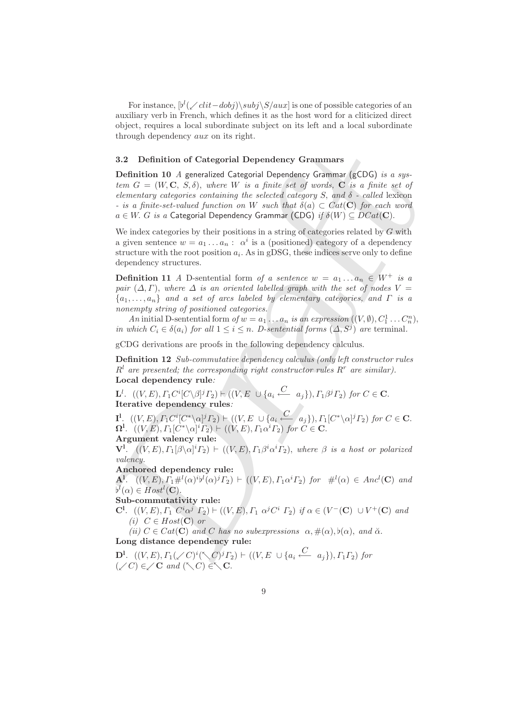For instance,  $[b^l(\angle \text{clit}-\text{dobj})\subj\S/aux]$  is one of possible categories of an auxiliary verb in French, which defines it as the host word for a cliticized direct object, requires a local subordinate subject on its left and a local subordinate through dependency aux on its right.

#### **3.2 Definition of Categorial Dependency Grammars**

3.2 Definition of Categorial Dependency Grammars<br>
Definition 10 A generalized Gategorial Dependency Grammar (gCDG) is a system<br>
Let  $G = (W, C, S, \beta)$ , where  $W$  is a finite in  $\theta$  can finite set of<br>
elementary otetynese con **Definition 10** *A* generalized Categorial Dependency Grammar (gCDG) *is a sys* $tem$   $G = (W, \mathbf{C}, S, \delta)$ , where W is a finite set of words,  $\mathbf{C}$  *is a finite set of elementary categories containing the selected category*  $S$ , and  $\delta$  - called lexicon *- is a finite-set-valued function on* W *such that*  $\delta(a) \subset Cat(\mathbf{C})$  *for each word*  $a \in W$ . G *is a* Categorial Dependency Grammar (CDG) *if*  $\delta(W) \subseteq DCat(C)$ .

We index categories by their positions in a string of categories related by  $G$  with a given sentence  $w = a_1 \ldots a_n : \alpha^i$  is a (positioned) category of a dependency structure with the root position  $a_i$ . As in gDSG, these indices serve only to define dependency structures.

**Definition 11** *A* D-sentential form *of a sentence*  $w = a_1 \dots a_n \in W^+$  *is a pair*  $(\Delta, \Gamma)$ , *where*  $\Delta$  *is an oriented labelled graph with the set of nodes*  $V =$ {a1,...,an} *and a set of arcs labeled by elementary categories, and* Γ *is a nonempty string of positioned categories.*

*An* initial D-sentential form  $of w = a_1 \ldots a_n$  *is an expression*  $((V, \emptyset), C_1^1 \ldots C_n^n)$ , *in which*  $C_i \in \delta(a_i)$  *for all*  $1 \leq i \leq n$ *. D-sentential forms*  $(\Delta, S^j)$  *are* terminal*.* 

gCDG derivations are proofs in the following dependency calculus.

**Definition 12** *Sub-commutative dependency calculus (only left constructor rules*  $R<sup>l</sup>$  are presented; the corresponding right constructor rules  $R<sup>r</sup>$  are similar). **Local dependency rule***:*

 $\mathbf{L}^l$ .  $((V, E), \Gamma_1 C^i [C \setminus \beta]^j \Gamma_2) \vdash ((V, E \cup \{a_i \stackrel{C}{\longleftarrow} a_j\}), \Gamma_1 \beta^j \Gamma_2) \text{ for } C \in \mathbf{C}.$ **Iterative dependency rules***:*

 ${\bf I}^{\rm l}$ .  $((V, E), \Gamma_1 C^i [C^* \setminus \alpha]^j \Gamma_2) \vdash ((V, E \cup \{a_i \stackrel{C}{\longleftarrow} a_j\}), \Gamma_1 [C^* \setminus \alpha]^j \Gamma_2) \ for \ C \in {\bf C}.$  $\Omega^1$ .  $((V, E), \Gamma_1[C^*\setminus\alpha]^i\Gamma_2)$  +  $((V, E), \Gamma_1\alpha^i\Gamma_2)$  *for*  $C \in \mathbf{C}$ .

**Argument valency rule:**

 ${\bf V}^1$ .  $((V, E), \Gamma_1[\beta \backslash \alpha]^i \Gamma_2) \vdash ((V, E), \Gamma_1\beta^i\alpha^i\Gamma_2),$  where  $\beta$  is a host or polarized *valency.*

#### **Anchored dependency rule:**

**A**<sup>1</sup>. ((V,E),  $\overline{I_1\#^l}(\alpha)^{i}b^l(\alpha)^{j}T_2$ )  $\vdash$  ((V,E),  $\overline{I_1\alpha^i}T_2$ ) for  $\#^l(\alpha) \in Anc^l(\mathbf{C})$  and  $b^l(\alpha) \in Host^l(\mathbf{C}).$ 

#### **Sub-commutativity rule:**

**C<sup>1</sup>**.  $((V, E), \Gamma_1 C^i \alpha^j \Gamma_2) \vdash ((V, E), \Gamma_1 \alpha^j C^i \Gamma_2)$  *if*  $\alpha \in (V^-(\mathbb{C}) \cup V^+(\mathbb{C})$  *and (i)*  $C ∈ Host(C)$  *or* 

*(ii)*  $C \in Cat(\mathbf{C})$  *and* C *has no subexpressions*  $\alpha, \#(\alpha), \flat(\alpha)$ *, and*  $\breve{\alpha}$ *.* **Long distance dependency rule:**

**D**<sup>1</sup>.  $((V, E), \Gamma_1(\angle C)^i(\diagdown C)^j\Gamma_2) \vdash ((V, E \cup \{a_i \stackrel{C}{\longleftarrow} a_j\}), \Gamma_1\Gamma_2)$  for  $({\swarrow C}) \in {\swarrow} \mathbf{C}$  and  $({\nwarrow C}) \in {\nwarrow} \mathbf{C}$ .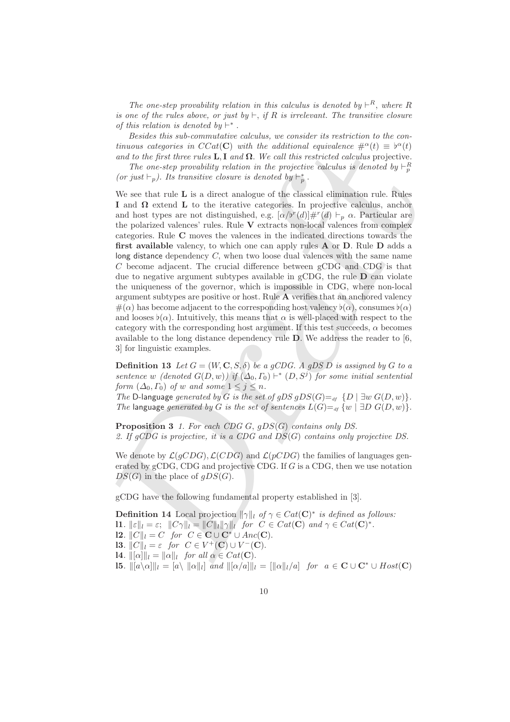*The one-step provability relation in this calculus is denoted by*  $\vdash^R$ , *where* R *is one of the rules above, or just by*  $\vdash$ , *if* R *is irrelevant. The transitive closure of this relation is denoted by*  $\vdash^*$ .

*Besides this sub-commutative calculus, we consider its restriction to the continuous categories in*  $CCat(C)$  *with the additional equivalence*  $\#^{\alpha}(t) \equiv \phi^{\alpha}(t)$ *and to the first three rules*  $\mathbf{L}, \mathbf{I}$  *and*  $\Omega$ . We call this restricted calculus projective.

The one-step provability relation in the projective calculus is denoted by  $\vdash_p^R$ *(or just*  $\vdash_p$ *). Its transitive closure is denoted by*  $\vdash_p^*$ .

transon categories in CCa(C) with the additional equivalent<br>or  $\#^2(1) \equiv \mathbb{P}^2(t)$ , and the first fine case and to the first three rates L,1 and  $\Omega$ . We call this restricted calculats yie<br>piective. The onester provedil We see that rule **L** is a direct analogue of the classical elimination rule. Rules **I** and **Ω** extend **L** to the iterative categories. In projective calculus, anchor and host types are not distinguished, e.g.  $[\alpha/b^r(d)]#^r(d) \vdash_p \alpha$ . Particular are the polarized valences' rules. Rule **V** extracts non-local valences from complex categories. Rule **C** moves the valences in the indicated directions towards the **first available** valency, to which one can apply rules **A** or **D**. Rule **D** adds a long distance dependency C, when two loose dual valences with the same name C become adjacent. The crucial difference between gCDG and CDG is that due to negative argument subtypes available in gCDG, the rule **D** can violate the uniqueness of the governor, which is impossible in CDG, where non-local argument subtypes are positive or host. Rule **A** verifies that an anchored valency  $\#(\alpha)$  has become adjacent to the corresponding host valency  $\flat(\alpha)$ , consumes  $\flat(\alpha)$ and looses  $\flat(\alpha)$ . Intuitively, this means that  $\alpha$  is well-placed with respect to the category with the corresponding host argument. If this test succeeds,  $\alpha$  becomes available to the long distance dependency rule **D**. We address the reader to [6, 3] for linguistic examples.

**Definition 13** Let  $G = (W, \mathbf{C}, S, \delta)$  be a gCDG. A gDS D is assigned by G to a *sentence* w *(denoted*  $G(D, w)$ ) if  $(\Delta_0, \Gamma_0) \vdash^* (D, S^j)$  *for some initial sentential form*  $(\Delta_0, \Gamma_0)$  *of* w and some  $1 \leq j \leq n$ .

*The* D-language *generated by* G *is the set of gDS gDS*(G)= $_{df}$  {D | ∃w G(D, w)}. *The* language *generated by* G *is the set of sentences*  $L(G) =$ <sub>*df*</sub>  $\{w \mid \exists D G(D, w)\}.$ 

**Proposition 3** *1. For each CDG* G, gDS(G) *contains only DS. 2. If gCDG is projective, it is a CDG and* DS(G) *contains only projective DS.*

We denote by  $\mathcal{L}(qCDG), \mathcal{L}(CDG)$  and  $\mathcal{L}(pCDG)$  the families of languages generated by  $gCDG$ , CDG and projective CDG. If G is a CDG, then we use notation  $DS(G)$  in the place of  $qDS(G)$ .

gCDG have the following fundamental property established in [3].

**Definition 14** Local projection  $\|\gamma\|_{l}$  of  $\gamma \in Cat(\mathbf{C})^*$  *is defined as follows:* **l1***.*  $\|\varepsilon\|_l = \varepsilon$ ;  $\|C\gamma\|_l = \|C\|_l \|\gamma\|_l$  for  $C \in Cat(\mathbf{C})$  and  $\gamma \in Cat(\mathbf{C})^*$ . **l2***.*  $||C||_l = C$  *for*  $C \in \mathbf{C} \cup \mathbf{C}^* \cup Anc(\mathbf{C})$ *.* **l3***.*  $||C||_l = \varepsilon$  *for*  $C \in V^+(\mathbb{C}) \cup V^-(\mathbb{C})$ *.* **l4***.*  $\|\[\alpha\]\|_l = \|\alpha\|_l$  for all  $\alpha \in Cat(\mathbf{C})$ . **l5***.*  $\| [a \setminus \alpha] \|_l = [a \setminus \| \alpha \|_l ]$  and  $\| [\alpha/a] \|_l = \| |\alpha| |_l / a |$  for  $a \in \mathbf{C} \cup \mathbf{C}^* \cup Host(\mathbf{C})$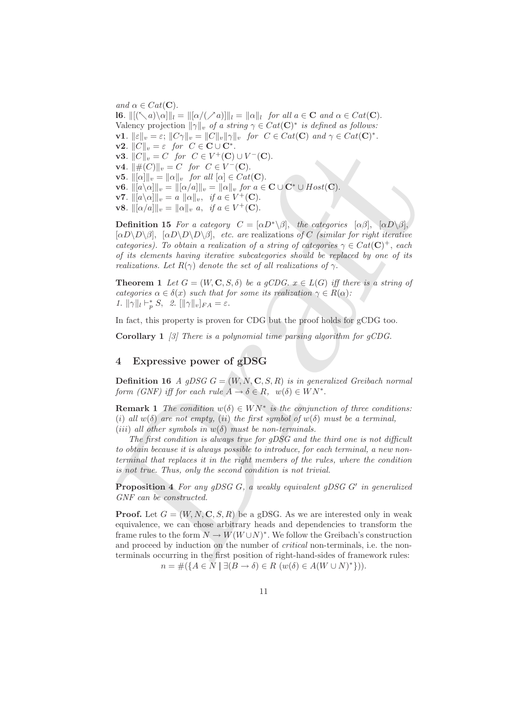**v3.**  $||C||_v = \varepsilon$  for  $C \subset \text{CUC}^*$ .<br> **v3.**  $||C||_v = C$  for  $C \in V^*(C) \cup V^*(C)$ .<br> **v4.**  $||\psi(C||)_{v} = C$  for  $C \in V^*(C) \cup V^*(C)$ .<br> **v5.**  $||[\alpha||]_{v} = ||\alpha||_{v}$ , for  $dl |Q| \in C \& I(C)$ .<br> **v6.**  $||[\alpha/\alpha||]_{v} = ||[\alpha||_{v} \sin l \alpha]_{v} = \mathbb{E} \cup \{C\}$ *and*  $\alpha \in Cat(\mathbf{C})$ . **l6***.*  $\|[(\mathcal{K}a)\setminus\alpha]\|_l = \|[\alpha/(\mathcal{N}a)]\|_l = \|\alpha\|_l$  for all  $a \in \mathbf{C}$  and  $\alpha \in Cat(\mathbf{C})$ . Valency projection  $\|\gamma\|_v$  *of a string*  $\gamma \in Cat(\mathbf{C})^*$  *is defined as follows:* **v1***.*  $\|\varepsilon\|_v = \varepsilon$ ;  $\|C\gamma\|_v = \|C\|_v \|\gamma\|_v$  for  $C \in Cat(\mathbf{C})$  and  $\gamma \in Cat(\mathbf{C})^*$ . **v2***.*  $||C||_v = \varepsilon$  *for*  $C \in \mathbf{C} \cup \mathbf{C}^*$ *.* **v3***.*  $||C||_v = C$  *for*  $C ∈ V^+(C) ∪ V^-(C)$ *.* **v4***.*  $\|\#(C)\|_{v} = C$  *for C* ∈ *V*<sup>−</sup> (**C**). **v5***.*  $\|\[\alpha\]\|_v = \|\alpha\|_v$  for all  $[\alpha] \in Cat(\mathbf{C})$ . **v6***.*  $\|[a\setminus\alpha]\|_v = \|[a/a]\|_v = \|\alpha\|_v$  for  $a \in \mathbf{C} \cup \mathbf{C}^* \cup Host(\mathbf{C})$ . **v7***.*  $\| [a\setminus \alpha] \|_v = a \| \alpha \|_v$ , *if*  $a \in V^+(\mathbb{C})$ . **v8***.*  $\|[\alpha/a]\|_v = \|\alpha\|_v \ a, \text{ if } a \in V^+(\mathbb{C}).$ 

**Definition 15** *For a category*  $C = [\alpha D^* \setminus \beta]$ , *the categories*  $[\alpha \beta]$ ,  $[\alpha D \setminus \beta]$ ,  $[\alpha D \backslash D \backslash \beta]$ ,  $[\alpha D \backslash D \backslash \beta]$ , *etc. are* realizations *of* C *(similar for right iterative categories*). To obtain a realization of a string of categories  $\gamma \in Cat(\mathbf{C})^+$ , *each of its elements having iterative subcategories should be replaced by one of its realizations. Let*  $R(\gamma)$  *denote the set of all realizations of*  $\gamma$ *.* 

**Theorem 1** *Let*  $G = (W, \mathbf{C}, S, \delta)$  *be a gCDG.*  $x \in L(G)$  *iff there is a string of categories*  $\alpha \in \delta(x)$  *such that for some its realization*  $\gamma \in R(\alpha)$ *: 1.*  $\|\gamma\|_l \vdash^*_p S$ , 2.  $[\|\gamma\|_v]_{FA} = \varepsilon$ .

In fact, this property is proven for CDG but the proof holds for gCDG too.

**Corollary 1** *[3] There is a polynomial time parsing algorithm for gCDG.*

# **4 Expressive power of gDSG**

**Definition 16** *A gDSG*  $G = (W, N, \mathbf{C}, S, R)$  *is in generalized Greibach normal form (GNF) iff for each rule*  $A \to \delta \in R$ ,  $w(\delta) \in W N^*$ .

**Remark 1** *The condition*  $w(\delta) \in W N^*$  *is the conjunction of three conditions:* (*i*) *all*  $w(\delta)$  *are not empty,* (*ii*) *the first symbol of*  $w(\delta)$  *must be a terminal,* (*iii*) *all other symbols in*  $w(\delta)$  *must be non-terminals.* 

*The first condition is always true for gDSG and the third one is not difficult to obtain because it is always possible to introduce, for each terminal, a new nonterminal that replaces it in the right members of the rules, where the condition is not true. Thus, only the second condition is not trivial.*

**Proposition 4** For any gDSG G, a weakly equivalent gDSG G' in generalized *GNF can be constructed.*

**Proof.** Let  $G = (W, N, \mathbf{C}, S, R)$  be a gDSG. As we are interested only in weak equivalence, we can chose arbitrary heads and dependencies to transform the frame rules to the form  $N \to W(W \cup N)^*$ . We follow the Greibach's construction and proceed by induction on the number of *critical* non-terminals, i.e. the nonterminals occurring in the first position of right-hand-sides of framework rules:  $n = #({ A \in N \mid \exists (B \to \delta) \in R \ (w(\delta) \in A(W \cup N)^*)}).$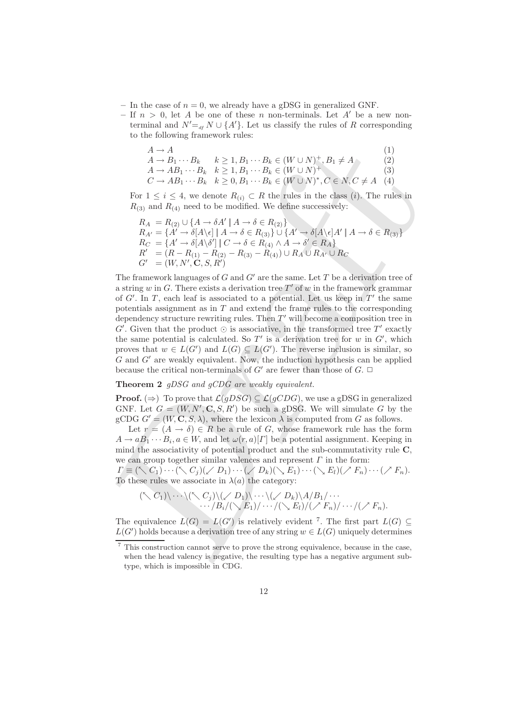- $-$  In the case of  $n = 0$ , we already have a gDSG in generalized GNF.
- $-$  If  $n > 0$ , let A be one of these n non-terminals. Let A' be a new nonterminal and  $N' =$ <sub>*df*</sub>  $N \cup \{A'\}$ . Let us classify the rules of R corresponding to the following framework rules:

| $A \rightarrow A$ |                                                                                                    | (1) |
|-------------------|----------------------------------------------------------------------------------------------------|-----|
|                   | $A \rightarrow B_1 \cdots B_k$ $k \geq 1, B_1 \cdots B_k \in (W \cup N)^+, B_1 \neq A$             | (2) |
|                   | $A \rightarrow AB_1 \cdots B_k$ $k \geq 1, B_1 \cdots B_k \in (W \cup N)^+$                        | (3) |
|                   | $C \rightarrow AB_1 \cdots B_k$ $k \geq 0, B_1 \cdots B_k \in (W \cup N)^*, C \in N, C \neq A$ (4) |     |

For  $1 \leq i \leq 4$ , we denote  $R_{(i)} \subset R$  the rules in the class (*i*). The rules in  $R_{(3)}$  and  $R_{(4)}$  need to be modified. We define successively:

$$
R_A = R_{(2)} \cup \{A \to \delta A' | A \to \delta \in R_{(2)}\}
$$
  
\n
$$
R_{A'} = \{A' \to \delta[A \setminus \epsilon] | A \to \delta \in R_{(3)}\} \cup \{A' \to \delta[A \setminus \epsilon]A' | A \to \delta \in R_{(3)}\}
$$
  
\n
$$
R_C = \{A' \to \delta[A \setminus \delta'] | C \to \delta \in R_{(4)} \land A \to \delta' \in R_A\}
$$
  
\n
$$
R' = (R - R_{(1)} - R_{(2)} - R_{(3)} - R_{(4)}) \cup R_A \cup R_{A'} \cup R_C
$$
  
\n
$$
G' = (W, N', \mathbf{C}, S, R')
$$

 $A \rightarrow A$ <br> $A \rightarrow B_1, \cdots B_k$  <br> $k \geq 1, B_1 \cdots B_k$  <br>(2)  $A \rightarrow AB_1 \cdots B_k$  <br>(2)  $A \rightarrow AB_1 \cdots B_k$  <br>(2)  $A \rightarrow AB_1 \cdots B_k$  <br>(2)  $B_1 \cdots B_k$  (40  $10$   $N)$ ,<br> $C \in X, C \neq A$  (4)  $C \in A \cap 1$ ,  $C \in X$  <br>(4)  $C \in A \cap 1$ ,  $C \in X, C \neq A$  (4) for<br> $1 \leq i \leq 4$ The framework languages of G and  $G'$  are the same. Let T be a derivation tree of a string w in G. There exists a derivation tree  $T'$  of w in the framework grammar of  $G'$ . In T, each leaf is associated to a potential. Let us keep in  $T'$  the same potentials assignment as in  $T$  and extend the frame rules to the corresponding dependency structure rewriting rules. Then  $T'$  will become a composition tree in  $G'$ . Given that the product  $\odot$  is associative, in the transformed tree T' exactly the same potential is calculated. So  $T'$  is a derivation tree for w in  $G'$ , which proves that  $w \in L(G')$  and  $L(G) \subseteq L(G')$ . The reverse inclusion is similar, so  $G$  and  $G'$  are weakly equivalent. Now, the induction hypothesis can be applied because the critical non-terminals of  $G'$  are fewer than those of  $G$ .  $\Box$ 

#### **Theorem 2** *gDSG and gCDG are weakly equivalent.*

**Proof.** ( $\Rightarrow$ ) To prove that  $\mathcal{L}(gDSG) \subseteq \mathcal{L}(gCDG)$ , we use a gDSG in generalized GNF. Let  $G = (W, N', \mathbf{C}, S, R')$  be such a gDSG. We will simulate G by the gCDG  $G' = (W, \mathbf{C}, S, \lambda)$ , where the lexicon  $\lambda$  is computed from G as follows.

Let  $r = (A \rightarrow \delta) \in R$  be a rule of G, whose framework rule has the form  $A \to aB_1 \cdots B_i, a \in W$ , and let  $\omega(r, a)[\Gamma]$  be a potential assignment. Keeping in mind the associativity of potential product and the sub-commutativity rule **C**, we can group together similar valences and represent  $\Gamma$  in the form:

 $\Gamma \equiv (\nwarrow C_1) \cdots (\nwarrow C_j) (\swarrow D_1) \cdots (\swarrow D_k) (\searrow E_1) \cdots (\searrow E_l) (\swarrow F_n) \cdots (\swarrow F_n).$ To these rules we associate in  $\lambda(a)$  the category:

$$
(\nwarrow C_1) \wedge \dots \wedge (\nwarrow C_j) \wedge (\swarrow D_1) \wedge \dots \wedge (\swarrow D_k) \wedge A/B_1 / \dots \wedge B_i / (\searrow E_1) / \dots / (\searrow E_i) / (\nearrow F_n) / \dots / (\nearrow F_n).
$$

The equivalence  $L(G) = L(G')$  is relatively evident <sup>7</sup>. The first part  $L(G) \subseteq$  $L(G')$  holds because a derivation tree of any string  $w \in L(G)$  uniquely determines

<sup>7</sup> This construction cannot serve to prove the strong equivalence, because in the case, when the head valency is negative, the resulting type has a negative argument subtype, which is impossible in CDG.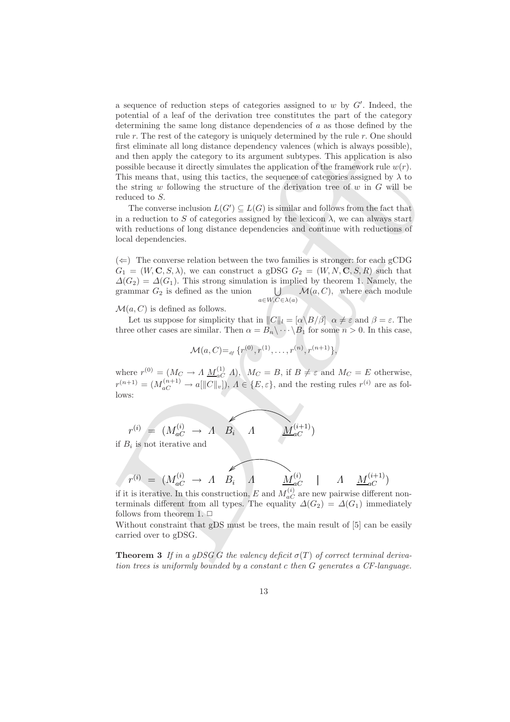first chiminate all long distance dependency whences (which is always possible),<br>
and then apply the entergory to its argument subtryes. This application is also<br>
possible because it directly simulates the application of a sequence of reduction steps of categories assigned to  $w$  by  $G'$ . Indeed, the potential of a leaf of the derivation tree constitutes the part of the category determining the same long distance dependencies of  $a$  as those defined by the rule  $r$ . The rest of the category is uniquely determined by the rule  $r$ . One should first eliminate all long distance dependency valences (which is always possible), and then apply the category to its argument subtypes. This application is also possible because it directly simulates the application of the framework rule  $w(r)$ . This means that, using this tactics, the sequence of categories assigned by  $\lambda$  to the string w following the structure of the derivation tree of w in  $G$  will be reduced to S.

The converse inclusion  $L(G') \subseteq L(G)$  is similar and follows from the fact that in a reduction to S of categories assigned by the lexicon  $\lambda$ , we can always start with reductions of long distance dependencies and continue with reductions of local dependencies.

 $(\Leftarrow)$  The converse relation between the two families is stronger: for each gCDG  $G_1 = (W, \mathbf{C}, S, \lambda)$ , we can construct a gDSG  $G_2 = (W, N, \mathbf{C}, S, R)$  such that  $\Delta(G_2) = \Delta(G_1)$ . This strong simulation is implied by theorem 1. Namely, the grammar  $G_2$  is defined as the union  $\bigcup$  $a \in W, C \in \lambda(a)$  $\mathcal{M}(a, C)$ , where each module

 $\mathcal{M}(a, C)$  is defined as follows.

Let us suppose for simplicity that in  $||C||_l = [\alpha \setminus B/\beta] \alpha \neq \varepsilon$  and  $\beta = \varepsilon$ . The three other cases are similar. Then  $\alpha = B_n \backslash \cdots \backslash B_1$  for some  $n > 0$ . In this case,

$$
\mathcal{M}(a, C) =_{df} \{r^{(0)}, r^{(1)}, \ldots, r^{(n)}, r^{(n+1)}\},\
$$

where  $r^{(0)} = (M_C \to A \underline{M}_{aC}^{(1)} A), M_C = B$ , if  $B \neq \varepsilon$  and  $M_C = E$  otherwise,  $r^{(n+1)} = (M_{aC}^{(n+1)} \rightarrow a[||C||_v]), A \in \{E, \varepsilon\}$ , and the resting rules  $r^{(i)}$  are as follows:

$$
r^{(i)} = (M_{aC}^{(i)} \rightarrow A \quad B_i \quad A \qquad M_{aC}^{(i+1)})
$$
if  $B_i$  is not iterative and

$$
r^{(i)} = (M_{aC}^{(i)} \rightarrow A \quad B_i \quad A \quad M_{aC}^{(i)} \quad | \quad A \quad M_{aC}^{(i+1)})
$$

if it is iterative. In this construction, E and  $M_{aC}^{(i)}$  are new pairwise different nonterminals different from all types. The equality  $\Delta(G_2) = \Delta(G_1)$  immediately follows from theorem 1.  $\Box$ 

Without constraint that gDS must be trees, the main result of [5] can be easily carried over to gDSG.

**Theorem 3** *If in a gDSG G the valency deficit*  $\sigma(T)$  *of correct terminal derivation trees is uniformly bounded by a constant* c *then* G *generates a CF-language.*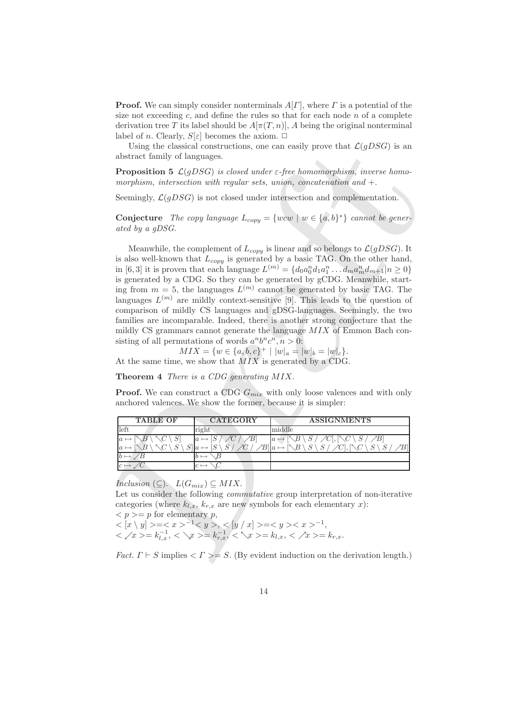**Proof.** We can simply consider nonterminals  $A[\Gamma]$ , where  $\Gamma$  is a potential of the size not exceeding c, and define the rules so that for each node  $n$  of a complete derivation tree T its label should be  $A[\pi(T, n)]$ , A being the original nonterminal label of n. Clearly,  $S[\varepsilon]$  becomes the axiom.  $\Box$ 

Using the classical constructions, one can easily prove that  $\mathcal{L}(qDSG)$  is an abstract family of languages.

**Proposition 5**  $\mathcal{L}(gDSG)$  *is closed under*  $\varepsilon$ -free homomorphism, inverse homo*morphism, intersection with regular sets, union, concatenation and* +.

Seemingly,  $\mathcal{L}(qDSG)$  is not closed under intersection and complementation.

**Conjecture** *The copy language*  $L_{copy} = \{wcw \mid w \in \{a,b\}^*\}$  *cannot be generated by a gDSG.*

Using the classical constructions, one can easily prove that  $L(gDSG)$  is an distract furnity of languages.<br> **Proposition** 5  $L(gDSG)$  is closed under effect anomorphism, inverse homomorphism, inverse homomorphism, intersecti Meanwhile, the complement of  $L_{copy}$  is linear and so belongs to  $\mathcal{L}(gDSG)$ . It is also well-known that  $L_{copy}$  is generated by a basic TAG. On the other hand, in [6,3] it is proven that each language  $L^{(m)} = \{d_0 a_0^n d_1 a_1^n \dots d_m a_m^n d_{m+1} | n \ge 0\}$ is generated by a CDG. So they can be generated by gCDG. Meanwhile, starting from  $m = 5$ , the languages  $L^{(m)}$  cannot be generated by basic TAG. The languages  $L^{(m)}$  are mildly context-sensitive [9]. This leads to the question of comparison of mildly CS languages and gDSG-languages. Seemingly, the two families are incomparable. Indeed, there is another strong conjecture that the mildly CS grammars cannot generate the language  $MIX$  of Emmon Bach consisting of all permutations of words  $a^nb^nc^n, n>0$ :

 $MIX = \{w \in \{a, b, c\}^+ \mid |w|_a = |w|_b = |w|_c\}.$ 

At the same time, we show that  $MIX$  is generated by a CDG.

**Theorem 4** *There is a CDG generating* MIX.

**Proof.** We can construct a CDG  $G_{mix}$  with only loose valences and with only anchored valences. We show the former, because it is simpler:

| <b>TABLE OF</b> | <b>CATEGORY</b> | <b>ASSIGNMENTS</b> |
|-----------------|-----------------|--------------------|
| left            | right           | middle             |
| $\overline{a}$  | $a \mapsto$     | $\overline{a}$     |
| $\overline{a}$  |                 |                    |
|                 |                 |                    |
| c               |                 |                    |

*Inclusion* ( $\subseteq$ ).  $L(G_{mix}) \subseteq MIX$ .

Let us consider the following *commutative* group interpretation of non-iterative categories (where  $k_{l,x}, k_{r,x}$  are new symbols for each elementary x):

 $\langle p \rangle = p$  for elementary p,

 $\langle x | y | > = ^{-1} < y > , < [y | x] > =  ^{-1},$  $\langle x \rangle = k_{l,x}^{-1}, \langle x \rangle = k_{r,x}^{-1}, \langle x \rangle = k_{l,x}, \langle x \rangle = k_{r,x}.$ 

*Fact.*  $\Gamma \vdash S$  implies  $\langle \Gamma \rangle = S$ . (By evident induction on the derivation length.)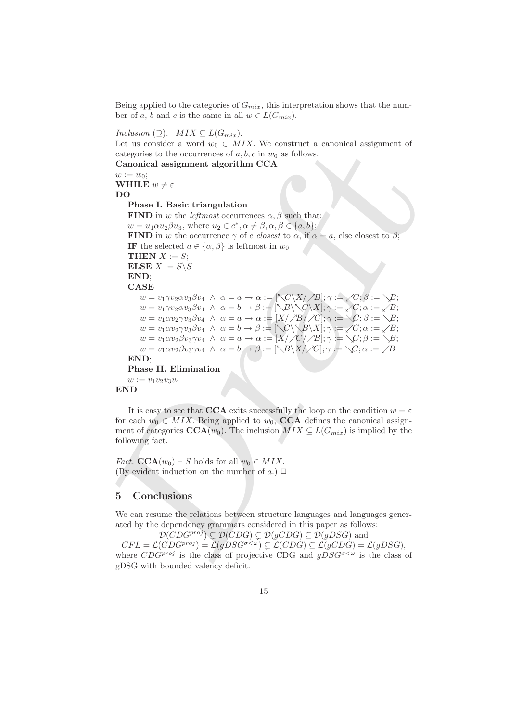Being applied to the categories of  $G_{mix}$ , this interpretation shows that the number of a, b and c is the same in all  $w \in L(G_{mix})$ .

*Inclusion* ( $\supseteq$ ). *MIX*  $\subseteq$   $L(G_{mix})$ .

Let us consider a word  $w_0 \in MIX$ . We construct a canonical assignment of categories to the occurrences of  $a, b, c$  in  $w_0$  as follows.

**Canonical assignment algorithm CCA**  $w := w_0;$ 

**WHILE**  $w \neq \varepsilon$ 

**DO**

**Phase I. Basic triangulation**

Let us consider a word w<sub>1</sub> = *w*//, we consider<br>the categories to the occurrences of  $a, b, c$  in the as follows.<br>
Canonical assignment of<br>
Canonical assignment algorithm CCA<br>
WHIE  $w \neq \varepsilon$ <br>
WHIE  $w \neq \varepsilon$ <br>
WHIE  $w \neq \v$ **FIND** in w the *leftmost* occurrences  $\alpha$ ,  $\beta$  such that:  $w = u_1 \alpha u_2 \beta u_3$ , where  $u_2 \in c^*$ ,  $\alpha \neq \beta$ ,  $\alpha, \beta \in \{a, b\}$ ; **FIND** in w the occurrence  $\gamma$  of c *closest* to  $\alpha$ , if  $\alpha = a$ , else closest to  $\beta$ ; **IF** the selected  $a \in \{\alpha, \beta\}$  is leftmost in  $w_0$ **THEN**  $X := S$ ; **ELSE**  $X := S \setminus S$ **END**; **CASE**  $w = v_1 \gamma v_2 \alpha v_3 \beta v_4 \;\wedge\; \alpha = a \to \alpha := [\nwarrow C \setminus X/\nearrow B]; \gamma := \swarrow C; \beta := \searrow B;$  $w = v_1 \gamma v_2 \alpha v_3 \beta v_4 \ \wedge \ \alpha = b \rightarrow \beta := [\nabla B \backslash \nabla C \backslash X]; \gamma := \angle C; \alpha := \angle B;$  $w = v_1 \alpha v_2 \gamma v_3 \beta v_4 \;\wedge\; \alpha = a \to \alpha := [X/\mathcal{A} B/\mathcal{A} C]; \gamma := \searrow C; \beta := \searrow B;$  $w = v_1 \alpha v_2 \gamma v_3 \beta v_4 \ \wedge \ \alpha = b \rightarrow \beta := [\nwarrow C \vee \nwarrow B \vee X]; \gamma := \swarrow C; \alpha := \swarrow B;$  $w = v_1 \alpha v_2 \beta v_3 \gamma v_4 \;\wedge\; \alpha = a \to \alpha := [X/\mathcal{J}C/\mathcal{J}B]; \gamma := \searrow C; \beta := \searrow B;$  $w = v_1 \alpha v_2 \beta v_3 \gamma v_4 \;\wedge\; \alpha = b \rightarrow \beta := [\bigtriangledown B \backslash X \slash \diagup C]; \gamma := \bigtriangledown C; \alpha := \diagup B$ **END**; **Phase II. Elimination**  $w := v_1v_2v_3v_4$ 

**END**

It is easy to see that **CCA** exits successfully the loop on the condition  $w = \varepsilon$ for each  $w_0 \in MIX$ . Being applied to  $w_0$ , **CCA** defines the canonical assignment of categories  $\mathbf{CCA}(w_0)$ . The inclusion  $MIX \subseteq L(G_{mix})$  is implied by the following fact.

*Fact.* **CCA**( $w_0$ )  $\vdash$  *S* holds for all  $w_0 \in MIX$ . (By evident induction on the number of  $a$ .)  $\Box$ 

# **5 Conclusions**

We can resume the relations between structure languages and languages generated by the dependency grammars considered in this paper as follows:

 $\mathcal{D}(CDG^{proj}) \subsetneq \mathcal{D}(CDG) \subsetneq \mathcal{D}(gCDG) \subseteq \mathcal{D}(gDSG)$  and  $CFL = \mathcal{L}(CDG^{proj}) = \mathcal{L}(gDSG^{\sigma \langle \omega \rangle}) \subsetneq \mathcal{L}(CDG) \subseteq \mathcal{L}(gCDG) = \mathcal{L}(gDSG),$ where  $CDG^{proj}$  is the class of projective CDG and  $qDSG^{\sigma \leq \omega}$  is the class of gDSG with bounded valency deficit.